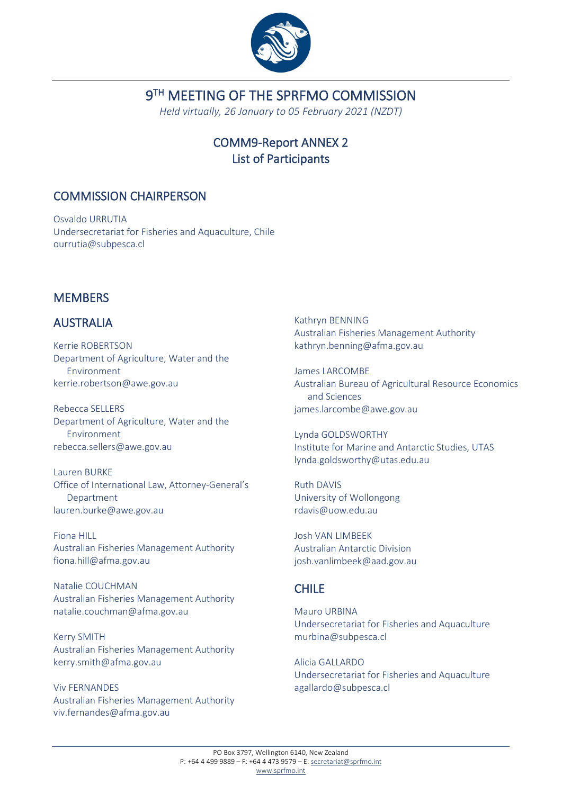

# 9<sup>TH</sup> MEETING OF THE SPRFMO COMMISSION

*Held virtually, 26 January to 05 February 2021 (NZDT)*

# COMM9-Report ANNEX 2 List of Participants

## COMMISSION CHAIRPERSON

Osvaldo URRUTIA Undersecretariat for Fisheries and Aquaculture, Chile ourrutia@subpesca.cl

# **MEMBERS**

# AUSTRALIA

Kerrie ROBERTSON Department of Agriculture, Water and the Environment kerrie.robertson@awe.gov.au

Rebecca SELLERS Department of Agriculture, Water and the Environment rebecca.sellers@awe.gov.au

Lauren BURKE Office of International Law, Attorney-General's Department lauren.burke@awe.gov.au

Fiona HILL Australian Fisheries Management Authority fiona.hill@afma.gov.au

Natalie COUCHMAN Australian Fisheries Management Authority natalie.couchman@afma.gov.au

Kerry SMITH Australian Fisheries Management Authority kerry.smith@afma.gov.au

Viv FERNANDES Australian Fisheries Management Authority viv.fernandes@afma.gov.au

Kathryn BENNING Australian Fisheries Management Authority kathryn.benning@afma.gov.au

James LARCOMBE Australian Bureau of Agricultural Resource Economics and Sciences james.larcombe@awe.gov.au

Lynda GOLDSWORTHY Institute for Marine and Antarctic Studies, UTAS lynda.goldsworthy@utas.edu.au

Ruth DAVIS University of Wollongong rdavis@uow.edu.au

Josh VAN LIMBEEK Australian Antarctic Division josh.vanlimbeek@aad.gov.au

## CHILE

Mauro URBINA Undersecretariat for Fisheries and Aquaculture murbina@subpesca.cl

Alicia GALLARDO Undersecretariat for Fisheries and Aquaculture agallardo@subpesca.cl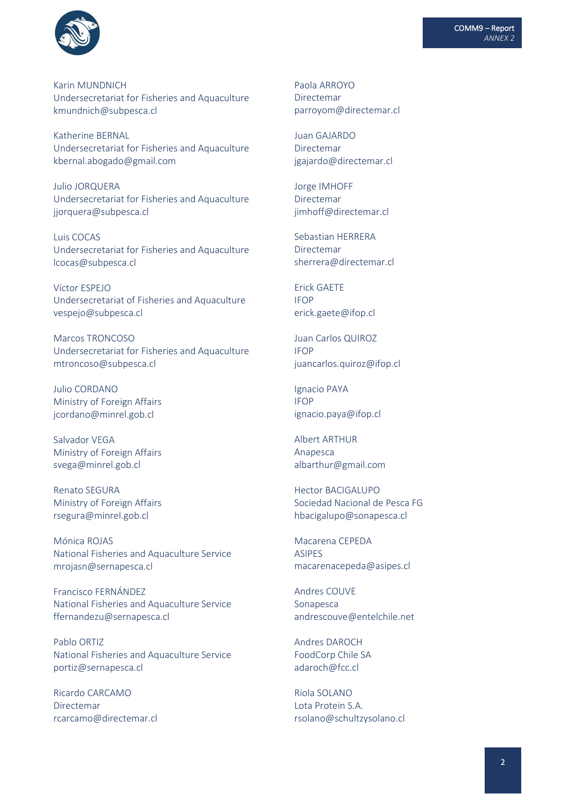

Karin MUNDNICH Undersecretariat for Fisheries and Aquaculture kmundnich@subpesca.cl

Katherine BERNAL Undersecretariat for Fisheries and Aquaculture kbernal.abogado@gmail.com

Julio JORQUERA Undersecretariat for Fisheries and Aquaculture jjorquera@subpesca.cl

Luis COCAS Undersecretariat for Fisheries and Aquaculture [lcocas@subpesca.cl](mailto:lcocas@subpesca.cl)

Víctor ESPEJO Undersecretariat of Fisheries and Aquaculture vespejo@subpesca.cl

Marcos TRONCOSO Undersecretariat for Fisheries and Aquaculture mtroncoso@subpesca.cl

Julio CORDANO Ministry of Foreign Affairs jcordano@minrel.gob.cl

Salvador VEGA Ministry of Foreign Affairs svega@minrel.gob.cl

Renato SEGURA Ministry of Foreign Affairs rsegura@minrel.gob.cl

Mónica ROJAS National Fisheries and Aquaculture Service mrojasn@sernapesca.cl

Francisco FERNÁNDEZ National Fisheries and Aquaculture Service ffernandezu@sernapesca.cl

Pablo ORTIZ National Fisheries and Aquaculture Service portiz@sernapesca.cl

Ricardo CARCAMO Directemar rcarcamo@directemar.cl Paola ARROYO Directemar parroyom@directemar.cl

Juan GAJARDO Directemar jgajardo@directemar.cl

Jorge IMHOFF Directemar jimhoff@directemar.cl

Sebastian HERRERA Directemar [sherrera@directemar.cl](mailto:sherrera@directemar.cl)

Erick GAETE IFOP erick.gaete@ifop.cl

Juan Carlos QUIROZ IFOP juancarlos.quiroz@ifop.cl

Ignacio PAYA IFOP ignacio.paya@ifop.cl

Albert ARTHUR Anapesca albarthur@gmail.com

Hector BACIGALUPO Sociedad Nacional de Pesca FG hbacigalupo@sonapesca.cl

Macarena CEPEDA ASIPES macarenacepeda@asipes.cl

Andres COUVE Sonapesca andrescouve@entelchile.net

Andres DAROCH FoodCorp Chile SA adaroch@fcc.cl

Riola SOLANO Lota Protein S.A. rsolano@schultzysolano.cl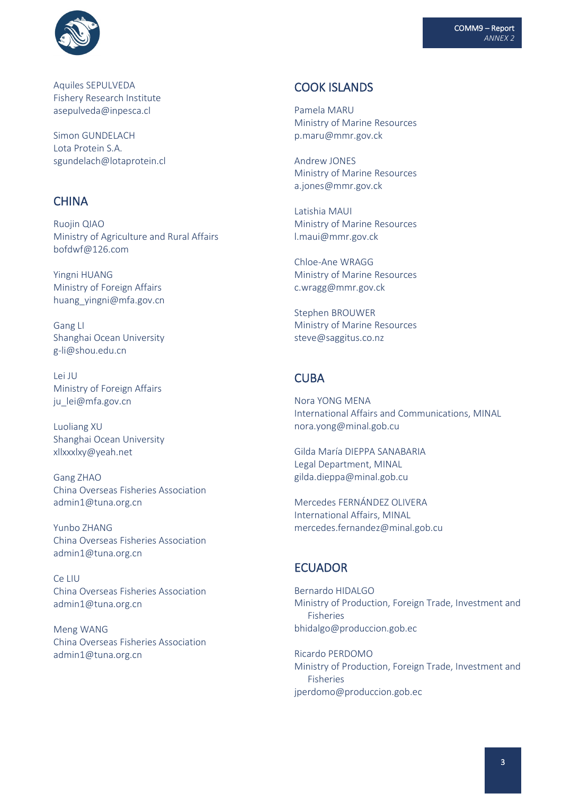



Aquiles SEPULVEDA Fishery Research Institute asepulveda@inpesca.cl

Simon GUNDELACH Lota Protein S.A. sgundelach@lotaprotein.cl

### **CHINA**

Ruojin QIAO Ministry of Agriculture and Rural Affairs bofdwf@126.com

Yingni HUANG Ministry of Foreign Affairs huang\_yingni@mfa.gov.cn

Gang LI Shanghai Ocean University g-li@shou.edu.cn

Lei JU Ministry of Foreign Affairs ju\_lei@mfa.gov.cn

Luoliang XU Shanghai Ocean University xllxxxlxy@yeah.net

Gang ZHAO China Overseas Fisheries Association admin1@tuna.org.cn

Yunbo ZHANG China Overseas Fisheries Association admin1@tuna.org.cn

Ce LIU China Overseas Fisheries Association admin1@tuna.org.cn

Meng WANG China Overseas Fisheries Association admin1@tuna.org.cn

## COOK ISLANDS

Pamela MARU Ministry of Marine Resources p.maru@mmr.gov.ck

Andrew JONES Ministry of Marine Resources a.jones@mmr.gov.ck

Latishia MAUI Ministry of Marine Resources l.maui@mmr.gov.ck

Chloe-Ane WRAGG Ministry of Marine Resources c.wragg@mmr.gov.ck

Stephen BROUWER Ministry of Marine Resources steve@saggitus.co.nz

### **CURA**

Nora YONG MENA International Affairs and Communications, MINAL nora.yong@minal.gob.cu

Gilda María DIEPPA SANABARIA Legal Department, MINAL gilda.dieppa@minal.gob.cu

Mercedes FERNÁNDEZ OLIVERA International Affairs, MINAL mercedes.fernandez@minal.gob.cu

#### ECUADOR

Bernardo HIDALGO Ministry of Production, Foreign Trade, Investment and Fisheries bhidalgo@produccion.gob.ec

Ricardo PERDOMO Ministry of Production, Foreign Trade, Investment and Fisheries [jperdomo@produccion.gob.ec](mailto:jperdomo@produccion.gob.ec)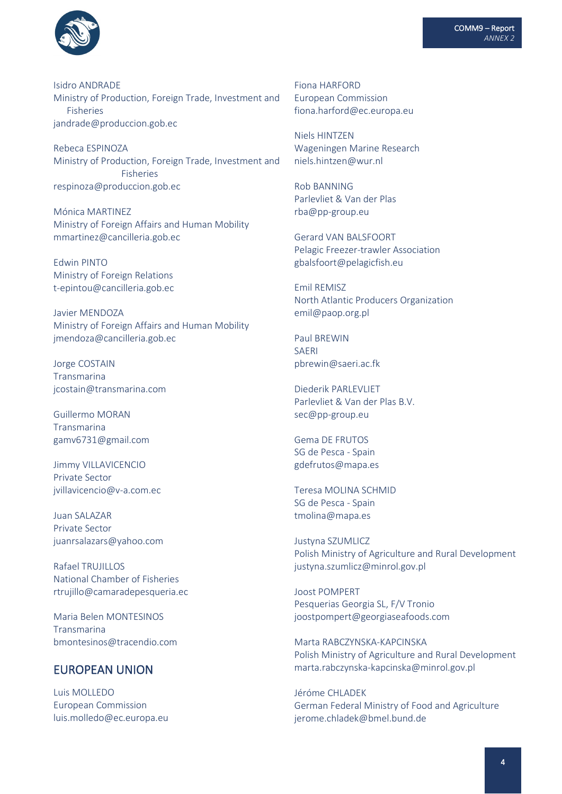

Isidro ANDRADE Ministry of Production, Foreign Trade, Investment and Fisheries jandrade@produccion.gob.ec

Rebeca ESPINOZA Ministry of Production, Foreign Trade, Investment and Fisheries respinoza@produccion.gob.ec

Mónica MARTINEZ Ministry of Foreign Affairs and Human Mobility mmartinez@cancilleria.gob.ec

Edwin PINTO Ministry of Foreign Relations t-epintou@cancilleria.gob.ec

Javier MENDOZA Ministry of Foreign Affairs and Human Mobility jmendoza@cancilleria.gob.ec

Jorge COSTAIN Transmarina jcostain@transmarina.com

Guillermo MORAN Transmarina gamv6731@gmail.com

Jimmy VILLAVICENCIO Private Sector jvillavicencio@v-a.com.ec

Juan SALAZAR Private Sector juanrsalazars@yahoo.com

Rafael TRUJILLOS National Chamber of Fisheries rtrujillo@camaradepesqueria.ec

Maria Belen MONTESINOS Transmarina bmontesinos@tracendio.com

### EUROPEAN UNION

Luis MOLLEDO European Commission luis.molledo@ec.europa.eu Fiona HARFORD European Commission fiona.harford@ec.europa.eu

Niels HINTZEN Wageningen Marine Research niels.hintzen@wur.nl

Rob BANNING Parlevliet & Van der Plas rba@pp-group.eu

Gerard VAN BALSFOORT Pelagic Freezer-trawler Association gbalsfoort@pelagicfish.eu

Emil REMISZ North Atlantic Producers Organization emil@paop.org.pl

Paul BREWIN SAERI pbrewin@saeri.ac.fk

Diederik PARLEVLIET Parlevliet & Van der Plas B.V. sec@pp-group.eu

Gema DE FRUTOS SG de Pesca - Spain gdefrutos@mapa.es

Teresa MOLINA SCHMID SG de Pesca - Spain tmolina@mapa.es

Justyna SZUMLICZ Polish Ministry of Agriculture and Rural Development justyna.szumlicz@minrol.gov.pl

Joost POMPERT Pesquerias Georgia SL, F/V Tronio joostpompert@georgiaseafoods.com

Marta RABCZYNSKA-KAPCINSKA Polish Ministry of Agriculture and Rural Development marta.rabczynska-kapcinska@minrol.gov.pl

Jéróme CHLADEK German Federal Ministry of Food and Agriculture jerome.chladek@bmel.bund.de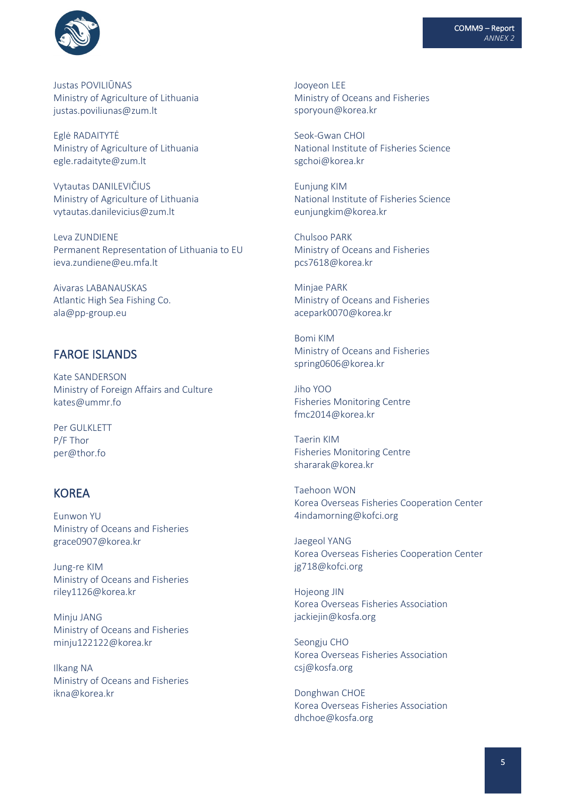

Justas POVILIŪNAS Ministry of Agriculture of Lithuania justas.poviliunas@zum.lt

Eglė RADAITYTĖ Ministry of Agriculture of Lithuania egle.radaityte@zum.lt

Vytautas DANILEVIČIUS Ministry of Agriculture of Lithuania vytautas.danilevicius@zum.lt

Leva ZUNDIENE Permanent Representation of Lithuania to EU ieva.zundiene@eu.mfa.lt

Aivaras LABANAUSKAS Atlantic High Sea Fishing Co. ala@pp-group.eu

### FAROE ISLANDS

Kate SANDERSON Ministry of Foreign Affairs and Culture kates@ummr.fo

Per GULKLETT P/F Thor per@thor.fo

## **KORFA**

Eunwon YU Ministry of Oceans and Fisheries grace0907@korea.kr

Jung-re KIM Ministry of Oceans and Fisheries riley1126@korea.kr

Minju JANG Ministry of Oceans and Fisheries minju122122@korea.kr

Ilkang NA Ministry of Oceans and Fisheries ikna@korea.kr

Jooyeon LEE Ministry of Oceans and Fisheries sporyoun@korea.kr

Seok-Gwan CHOI National Institute of Fisheries Science sgchoi@korea.kr

Eunjung KIM National Institute of Fisheries Science eunjungkim@korea.kr

Chulsoo PARK Ministry of Oceans and Fisheries pcs7618@korea.kr

Minjae PARK Ministry of Oceans and Fisheries acepark0070@korea.kr

Bomi KIM Ministry of Oceans and Fisheries spring0606@korea.kr

Jiho YOO Fisheries Monitoring Centre fmc2014@korea.kr

Taerin KIM Fisheries Monitoring Centre shararak@korea.kr

Taehoon WON Korea Overseas Fisheries Cooperation Center 4indamorning@kofci.org

Jaegeol YANG Korea Overseas Fisheries Cooperation Center jg718@kofci.org

Hojeong JIN Korea Overseas Fisheries Association jackiejin@kosfa.org

Seongju CHO Korea Overseas Fisheries Association csj@kosfa.org

Donghwan CHOE Korea Overseas Fisheries Association dhchoe@kosfa.org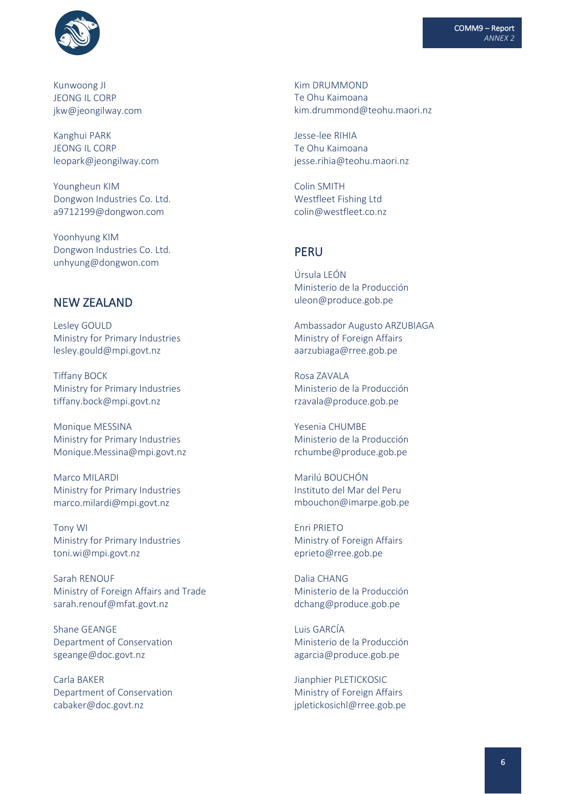

Kunwoong JI JEONG IL CORP jkw@jeongilway.com

Kanghui PARK JEONG IL CORP leopark@jeongilway.com

Youngheun KIM Dongwon Industries Co. Ltd. a9712199@dongwon.com

Yoonhyung KIM Dongwon Industries Co. Ltd. unhyung@dongwon.com

### NEW ZEALAND

Lesley GOULD Ministry for Primary Industries lesley.gould@mpi.govt.nz

Tiffany BOCK Ministry for Primary Industries tiffany.bock@mpi.govt.nz

Monique MESSINA Ministry for Primary Industries Monique.Messina@mpi.govt.nz

Marco MILARDI Ministry for Primary Industries marco.milardi@mpi.govt.nz

Tony WI Ministry for Primary Industries toni.wi@mpi.govt.nz

Sarah RENOUF Ministry of Foreign Affairs and Trade sarah.renouf@mfat.govt.nz

Shane GEANGE Department of Conservation sgeange@doc.govt.nz

Carla BAKER Department of Conservation cabaker@doc.govt.nz

Kim DRUMMOND Te Ohu Kaimoana kim.drummond@teohu.maori.nz

Jesse-lee RIHIA Te Ohu Kaimoana jesse.rihia@teohu.maori.nz

Colin SMITH Westfleet Fishing Ltd colin@westfleet.co.nz

### PERU

Úrsula LEÓN Ministerio de la Producción uleon@produce.gob.pe

Ambassador Augusto ARZUBIAGA Ministry of Foreign Affairs [aarzubiaga@rree.gob.pe](mailto:aarzubiaga@rree.gob.pe)

Rosa ZAVALA Ministerio de la Producción rzavala@produce.gob.pe

Yesenia CHUMBE Ministerio de la Producción rchumbe@produce.gob.pe

Marilú BOUCHÓN Instituto del Mar del Peru mbouchon@imarpe.gob.pe

Enri PRIETO Ministry of Foreign Affairs eprieto@rree.gob.pe

Dalia CHANG Ministerio de la Producción dchang@produce.gob.pe

Luis GARCÍA Ministerio de la Producción agarcia@produce.gob.pe

Jianphier PLETICKOSIC Ministry of Foreign Affairs jpletickosichl@rree.gob.pe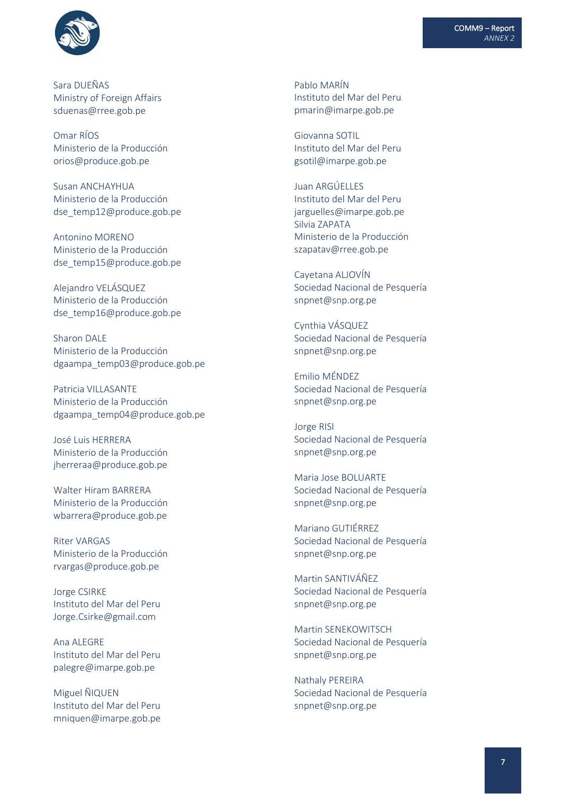

Sara DUEÑAS Ministry of Foreign Affairs sduenas@rree.gob.pe

Omar RÍOS Ministerio de la Producción orios@produce.gob.pe

Susan ANCHAYHUA Ministerio de la Producción dse\_temp12@produce.gob.pe

Antonino MORENO Ministerio de la Producción dse\_temp15@produce.gob.pe

Alejandro VELÁSQUEZ Ministerio de la Producción dse\_temp16@produce.gob.pe

Sharon DALE Ministerio de la Producción dgaampa\_temp03@produce.gob.pe

Patricia VILLASANTE Ministerio de la Producción dgaampa\_temp04@produce.gob.pe

José Luis HERRERA Ministerio de la Producción jherreraa@produce.gob.pe

Walter Hiram BARRERA Ministerio de la Producción wbarrera@produce.gob.pe

Riter VARGAS Ministerio de la Producción rvargas@produce.gob.pe

Jorge CSIRKE Instituto del Mar del Peru Jorge.Csirke@gmail.com

Ana ALEGRE Instituto del Mar del Peru palegre@imarpe.gob.pe

Miguel ÑIQUEN Instituto del Mar del Peru mniquen@imarpe.gob.pe Pablo MARÍN Instituto del Mar del Peru pmarin@imarpe.gob.pe

Giovanna SOTIL Instituto del Mar del Peru gsotil@imarpe.gob.pe

Juan ARGÚELLES Instituto del Mar del Peru jarguelles@imarpe.gob.pe Silvia ZAPATA Ministerio de la Producción szapatav@rree.gob.pe

Cayetana ALJOVÍN Sociedad Nacional de Pesquería snpnet@snp.org.pe

Cynthia VÁSQUEZ Sociedad Nacional de Pesquería snpnet@snp.org.pe

Emilio MÉNDEZ Sociedad Nacional de Pesquería snpnet@snp.org.pe

Jorge RISI Sociedad Nacional de Pesquería snpnet@snp.org.pe

Maria Jose BOLUARTE Sociedad Nacional de Pesquería snpnet@snp.org.pe

Mariano GUTIÉRREZ Sociedad Nacional de Pesquería snpnet@snp.org.pe

Martin SANTIVÁÑEZ Sociedad Nacional de Pesquería snpnet@snp.org.pe

Martin SENEKOWITSCH Sociedad Nacional de Pesquería snpnet@snp.org.pe

Nathaly PEREIRA Sociedad Nacional de Pesquería snpnet@snp.org.pe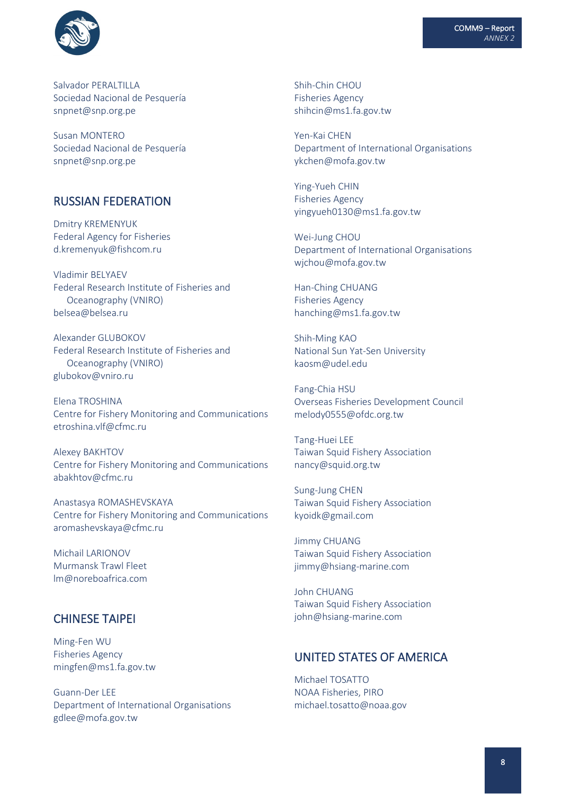

Salvador PFRALTILLA Sociedad Nacional de Pesquería snpnet@snp.org.pe

Susan MONTERO Sociedad Nacional de Pesquería snpnet@snp.org.pe

## RUSSIAN FEDERATION

Dmitry KREMENYUK Federal Agency for Fisheries d.kremenyuk@fishcom.ru

Vladimir BELYAEV Federal Research Institute of Fisheries and Oceanography (VNIRO) belsea@belsea.ru

Alexander GLUBOKOV Federal Research Institute of Fisheries and Oceanography (VNIRO) glubokov@vniro.ru

Elena TROSHINA Centre for Fishery Monitoring and Communications etroshina.vlf@cfmc.ru

Alexey BAKHTOV Centre for Fishery Monitoring and Communications abakhtov@cfmc.ru

Anastasya ROMASHEVSKAYA Centre for Fishery Monitoring and Communications aromashevskaya@cfmc.ru

Michail LARIONOV Murmansk Trawl Fleet lm@noreboafrica.com

### CHINESE TAIPEI

Ming-Fen WU Fisheries Agency mingfen@ms1.fa.gov.tw

Guann-Der LEE Department of International Organisations gdlee@mofa.gov.tw

Shih-Chin CHOU Fisheries Agency shihcin@ms1.fa.gov.tw

Yen-Kai CHEN Department of International Organisations ykchen@mofa.gov.tw

Ying-Yueh CHIN Fisheries Agency yingyueh0130@ms1.fa.gov.tw

Wei-Jung CHOU Department of International Organisations wjchou@mofa.gov.tw

Han-Ching CHUANG Fisheries Agency [hanching@ms1.fa.gov.tw](mailto:hanching@ms1.fa.gov.tw)

Shih-Ming KAO National Sun Yat-Sen University kaosm@udel.edu

Fang-Chia HSU Overseas Fisheries Development Council melody0555@ofdc.org.tw

Tang-Huei LEE Taiwan Squid Fishery Association nancy@squid.org.tw

Sung-Jung CHEN Taiwan Squid Fishery Association kyoidk@gmail.com

Jimmy CHUANG Taiwan Squid Fishery Association jimmy@hsiang-marine.com

John CHUANG Taiwan Squid Fishery Association john@hsiang-marine.com

## UNITED STATES OF AMERICA

Michael TOSATTO NOAA Fisheries, PIRO michael.tosatto@noaa.gov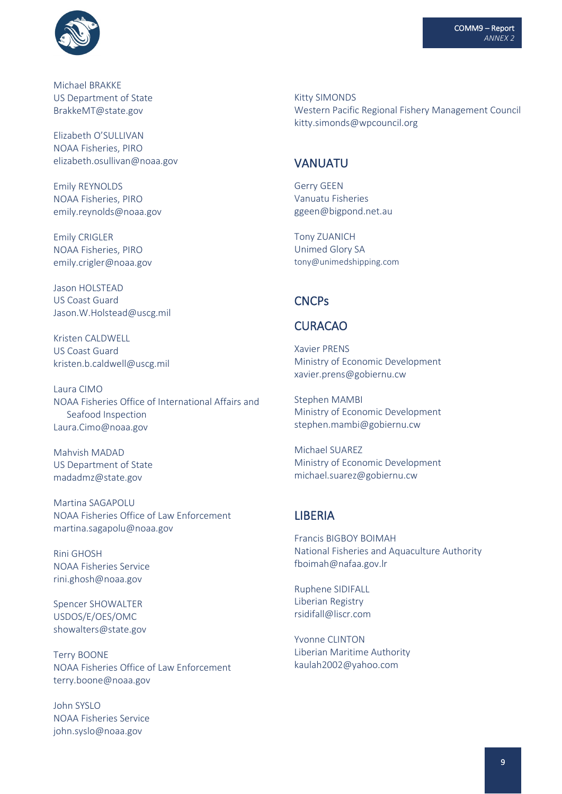

Michael BRAKKE US Department of State BrakkeMT@state.gov

Elizabeth O'SULLIVAN NOAA Fisheries, PIRO elizabeth.osullivan@noaa.gov

Emily REYNOLDS NOAA Fisheries, PIRO emily.reynolds@noaa.gov

Emily CRIGLER NOAA Fisheries, PIRO emily.crigler@noaa.gov

Jason HOLSTEAD US Coast Guard Jason.W.Holstead@uscg.mil

Kristen CALDWELL US Coast Guard kristen.b.caldwell@uscg.mil

Laura CIMO NOAA Fisheries Office of International Affairs and Seafood Inspection Laura.Cimo@noaa.gov

Mahvish MADAD US Department of State madadmz@state.gov

Martina SAGAPOLU NOAA Fisheries Office of Law Enforcement martina.sagapolu@noaa.gov

Rini GHOSH NOAA Fisheries Service rini.ghosh@noaa.gov

Spencer SHOWALTER USDOS/E/OES/OMC showalters@state.gov

Terry BOONE NOAA Fisheries Office of Law Enforcement terry.boone@noaa.gov

John SYSLO NOAA Fisheries Service john.syslo@noaa.gov

Kitty SIMONDS Western Pacific Regional Fishery Management Council kitty.simonds@wpcouncil.org

## VANUATU

Gerry GEEN Vanuatu Fisheries ggeen@bigpond.net.au

Tony ZUANICH Unimed Glory SA tony@unimedshipping.com

#### **CNCPs**

### CURACAO

Xavier PRENS Ministry of Economic Development xavier.prens@gobiernu.cw

Stephen MAMBI Ministry of Economic Development stephen.mambi@gobiernu.cw

Michael SUAREZ Ministry of Economic Development michael.suarez@gobiernu.cw

### LIBERIA

Francis BIGBOY BOIMAH National Fisheries and Aquaculture Authority fboimah@nafaa.gov.lr

Ruphene SIDIFALL Liberian Registry [rsidifall@liscr.com](mailto:rsidifall@liscr.com)

Yvonne CLINTON Liberian Maritime Authority kaulah2002@yahoo.com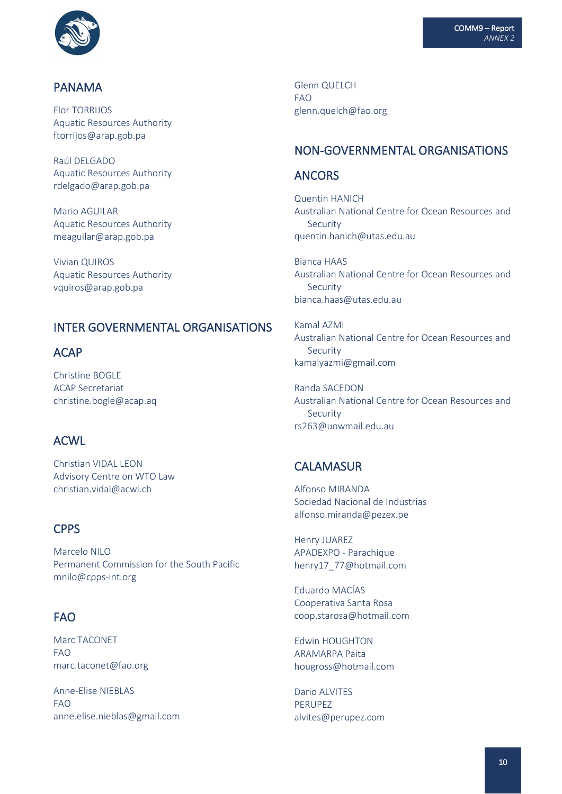

#### PANAMA

Flor TORRIJOS Aquatic Resources Authority ftorrijos@arap.gob.pa

Raúl DELGADO Aquatic Resources Authority rdelgado@arap.gob.pa

Mario AGUILAR Aquatic Resources Authority [meaguilar@arap.gob.pa](mailto:meaguilar@arap.gob.pa)

Vivian QUIROS Aquatic Resources Authority vquiros@arap.gob.pa

# INTER GOVERNMENTAL ORGANISATIONS

### ACAP

Christine BOGLE ACAP Secretariat christine.bogle@acap.aq

### ACWL

Christian VIDAL LEON Advisory Centre on WTO Law christian.vidal@acwl.ch

### **CPPS**

Marcelo NILO Permanent Commission for the South Pacific mnilo@cpps-int.org

## FAO

Marc TACONET FAO marc.taconet@fao.org

Anne-Elise NIEBLAS FAO anne.elise.nieblas@gmail.com Glenn QUELCH FAO glenn.quelch@fao.org

## NON-GOVERNMENTAL ORGANISATIONS

### ANCORS

Quentin HANICH Australian National Centre for Ocean Resources and Security quentin.hanich@utas.edu.au

Bianca HAAS Australian National Centre for Ocean Resources and Security bianca.haas@utas.edu.au

Kamal AZMI Australian National Centre for Ocean Resources and Security kamalyazmi@gmail.com

Randa SACEDON Australian National Centre for Ocean Resources and Security rs263@uowmail.edu.au

## **CALAMASUR**

Alfonso MIRANDA Sociedad Nacional de Industrias alfonso.miranda@pezex.pe

Henry JUAREZ APADEXPO - Parachique henry17\_77@hotmail.com

Eduardo MACÍAS Cooperativa Santa Rosa coop.starosa@hotmail.com

Edwin HOUGHTON ARAMARPA Paita hougross@hotmail.com

Dario ALVITES PERUPEZ alvites@perupez.com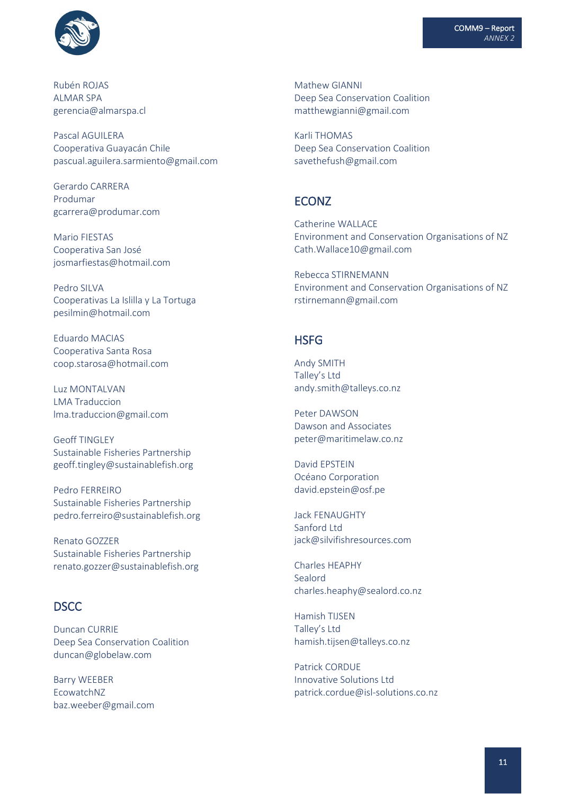

Rubén ROJAS ALMAR SPA gerencia@almarspa.cl

Pascal AGUILERA Cooperativa Guayacán Chile pascual.aguilera.sarmiento@gmail.com

Gerardo CARRERA Produmar gcarrera@produmar.com

Mario FIESTAS Cooperativa San José josmarfiestas@hotmail.com

Pedro SILVA Cooperativas La Islilla y La Tortuga pesilmin@hotmail.com

Eduardo MACIAS Cooperativa Santa Rosa coop.starosa@hotmail.com

Luz MONTALVAN LMA Traduccion lma.traduccion@gmail.com

Geoff TINGLEY Sustainable Fisheries Partnership geoff.tingley@sustainablefish.org

Pedro FERREIRO Sustainable Fisheries Partnership pedro.ferreiro@sustainablefish.org

Renato GOZZER Sustainable Fisheries Partnership renato.gozzer@sustainablefish.org

### **DSCC**

Duncan CURRIE Deep Sea Conservation Coalition duncan@globelaw.com

Barry WEEBER EcowatchNZ baz.weeber@gmail.com Mathew GIANNI Deep Sea Conservation Coalition matthewgianni@gmail.com

Karli THOMAS Deep Sea Conservation Coalition savethefush@gmail.com

### ECONZ

Catherine WALLACE Environment and Conservation Organisations of NZ Cath.Wallace10@gmail.com

Rebecca STIRNEMANN Environment and Conservation Organisations of NZ rstirnemann@gmail.com

### **HSFG**

Andy SMITH Talley's Ltd andy.smith@talleys.co.nz

Peter DAWSON Dawson and Associates peter@maritimelaw.co.nz

David EPSTEIN Océano Corporation david.epstein@osf.pe

Jack FENAUGHTY Sanford Ltd jack@silvifishresources.com

Charles HEAPHY Sealord [charles.heaphy@sealord.co.nz](mailto:djurasovich@sanford.co.nz)

Hamish TIJSEN Talley's Ltd [hamish.tijsen@talleys.co.nz](mailto:djurasovich@sanford.co.nz)

Patrick CORDUE Innovative Solutions Ltd patrick.cordue@isl-solutions.co.nz